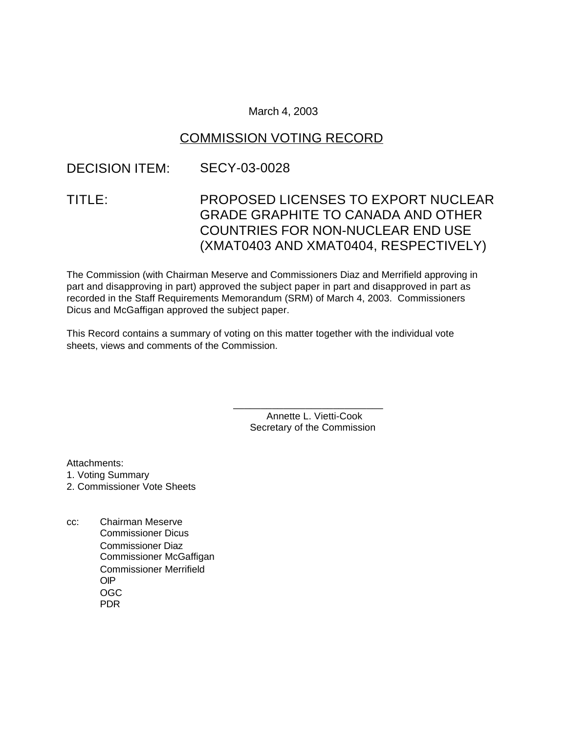### March 4, 2003

### COMMISSION VOTING RECORD

# DECISION ITEM: SECY-03-0028

# TITLE: PROPOSED LICENSES TO EXPORT NUCLEAR GRADE GRAPHITE TO CANADA AND OTHER COUNTRIES FOR NON-NUCLEAR END USE (XMAT0403 AND XMAT0404, RESPECTIVELY)

The Commission (with Chairman Meserve and Commissioners Diaz and Merrifield approving in part and disapproving in part) approved the subject paper in part and disapproved in part as recorded in the Staff Requirements Memorandum (SRM) of March 4, 2003. Commissioners Dicus and McGaffigan approved the subject paper.

This Record contains a summary of voting on this matter together with the individual vote sheets, views and comments of the Commission.

> Annette L. Vietti-Cook Secretary of the Commission

\_\_\_\_\_\_\_\_\_\_\_\_\_\_\_\_\_\_\_\_\_\_\_\_\_\_\_

Attachments: 1. Voting Summary 2. Commissioner Vote Sheets

cc: Chairman Meserve Commissioner Dicus Commissioner Diaz Commissioner McGaffigan Commissioner Merrifield OIP OGC PDR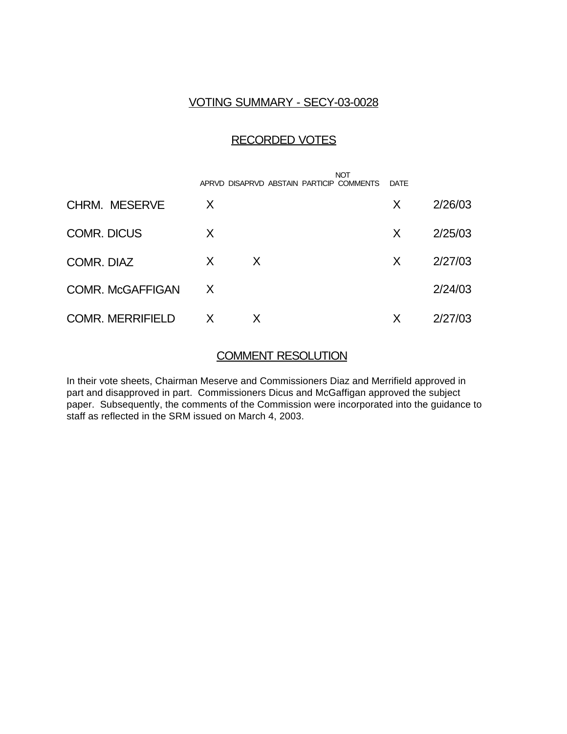## VOTING SUMMARY - SECY-03-0028

### RECORDED VOTES

|                         |   | APRVD DISAPRVD ABSTAIN PARTICIP COMMENTS | <b>NOT</b> | DATE |         |
|-------------------------|---|------------------------------------------|------------|------|---------|
| <b>CHRM. MESERVE</b>    | X |                                          |            | X    | 2/26/03 |
| <b>COMR. DICUS</b>      | X |                                          |            | X.   | 2/25/03 |
| COMR. DIAZ              | X | X                                        |            | X    | 2/27/03 |
| <b>COMR. McGAFFIGAN</b> | X |                                          |            |      | 2/24/03 |
| <b>COMR. MERRIFIELD</b> | X |                                          |            | X    | 2/27/03 |

# COMMENT RESOLUTION

In their vote sheets, Chairman Meserve and Commissioners Diaz and Merrifield approved in part and disapproved in part. Commissioners Dicus and McGaffigan approved the subject paper. Subsequently, the comments of the Commission were incorporated into the guidance to staff as reflected in the SRM issued on March 4, 2003.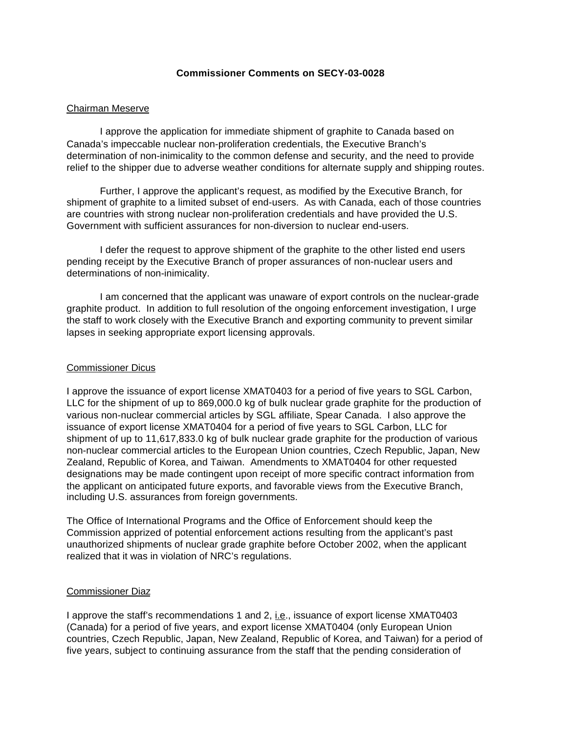#### **Commissioner Comments on SECY-03-0028**

#### Chairman Meserve

I approve the application for immediate shipment of graphite to Canada based on Canada's impeccable nuclear non-proliferation credentials, the Executive Branch's determination of non-inimicality to the common defense and security, and the need to provide relief to the shipper due to adverse weather conditions for alternate supply and shipping routes.

Further, I approve the applicant's request, as modified by the Executive Branch, for shipment of graphite to a limited subset of end-users. As with Canada, each of those countries are countries with strong nuclear non-proliferation credentials and have provided the U.S. Government with sufficient assurances for non-diversion to nuclear end-users.

I defer the request to approve shipment of the graphite to the other listed end users pending receipt by the Executive Branch of proper assurances of non-nuclear users and determinations of non-inimicality.

I am concerned that the applicant was unaware of export controls on the nuclear-grade graphite product. In addition to full resolution of the ongoing enforcement investigation, I urge the staff to work closely with the Executive Branch and exporting community to prevent similar lapses in seeking appropriate export licensing approvals.

#### Commissioner Dicus

I approve the issuance of export license XMAT0403 for a period of five years to SGL Carbon, LLC for the shipment of up to 869,000.0 kg of bulk nuclear grade graphite for the production of various non-nuclear commercial articles by SGL affiliate, Spear Canada. I also approve the issuance of export license XMAT0404 for a period of five years to SGL Carbon, LLC for shipment of up to 11,617,833.0 kg of bulk nuclear grade graphite for the production of various non-nuclear commercial articles to the European Union countries, Czech Republic, Japan, New Zealand, Republic of Korea, and Taiwan. Amendments to XMAT0404 for other requested designations may be made contingent upon receipt of more specific contract information from the applicant on anticipated future exports, and favorable views from the Executive Branch, including U.S. assurances from foreign governments.

The Office of International Programs and the Office of Enforcement should keep the Commission apprized of potential enforcement actions resulting from the applicant's past unauthorized shipments of nuclear grade graphite before October 2002, when the applicant realized that it was in violation of NRC's regulations.

#### Commissioner Diaz

I approve the staff's recommendations 1 and 2, i.e., issuance of export license XMAT0403 (Canada) for a period of five years, and export license XMAT0404 (only European Union countries, Czech Republic, Japan, New Zealand, Republic of Korea, and Taiwan) for a period of five years, subject to continuing assurance from the staff that the pending consideration of